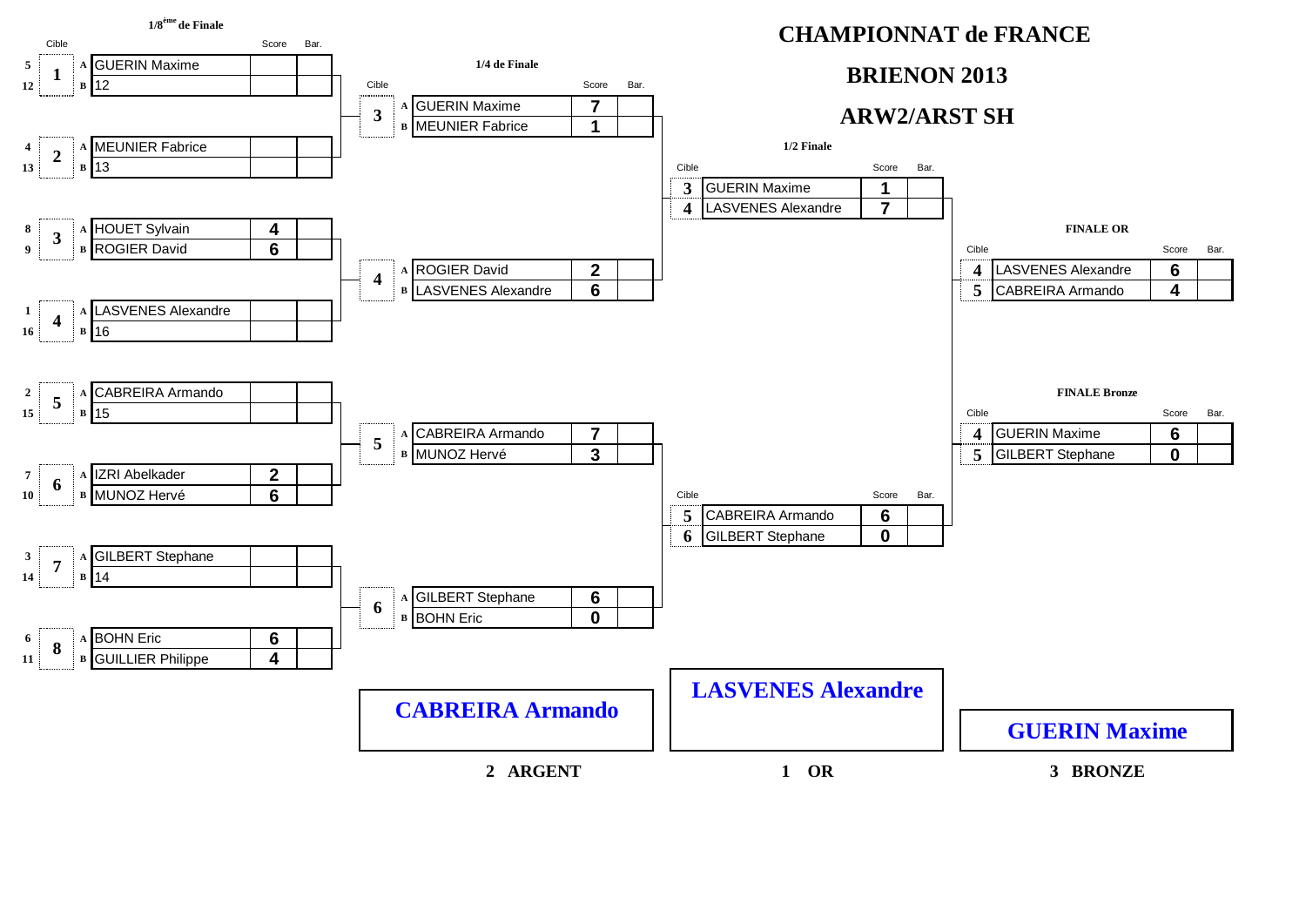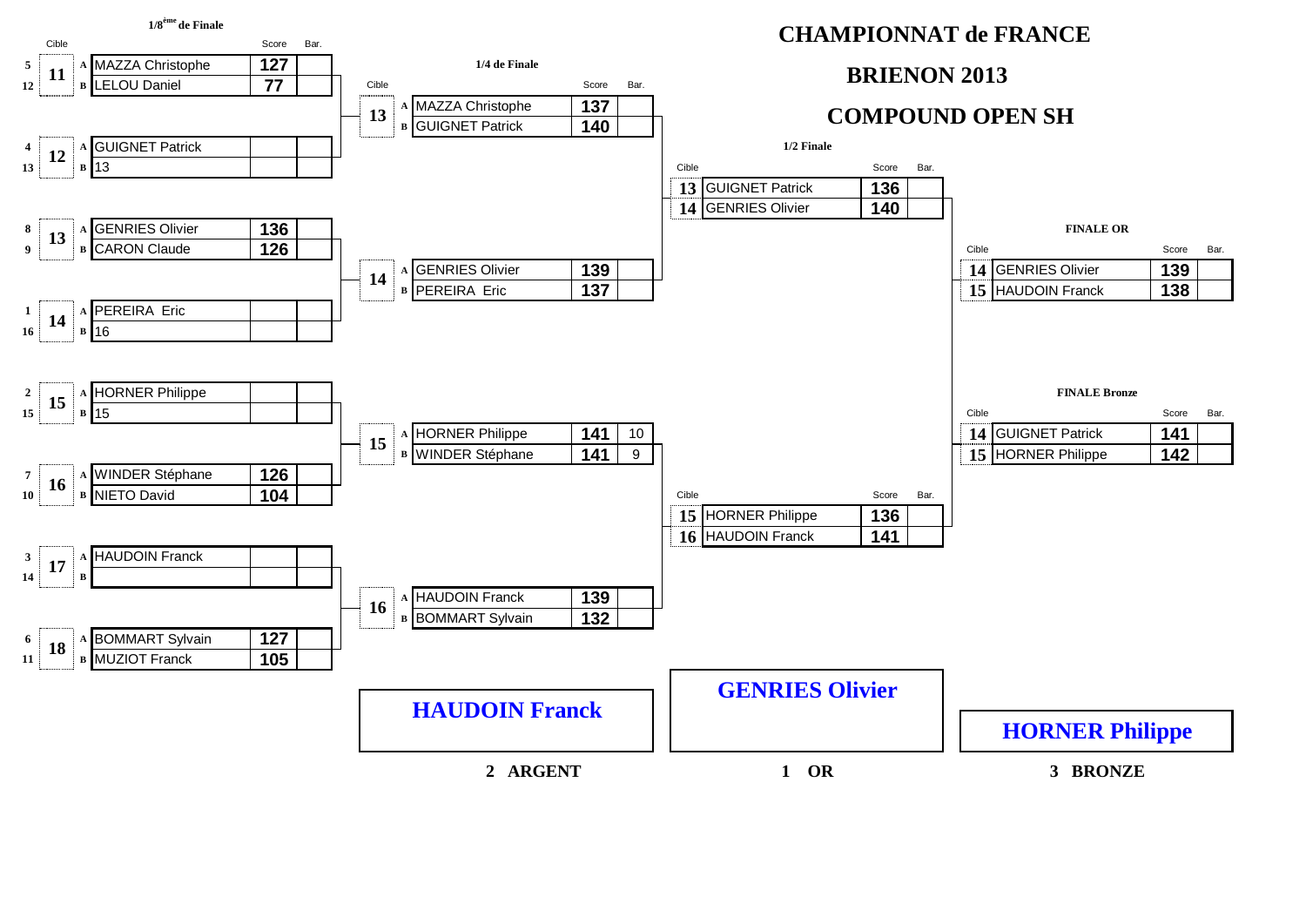